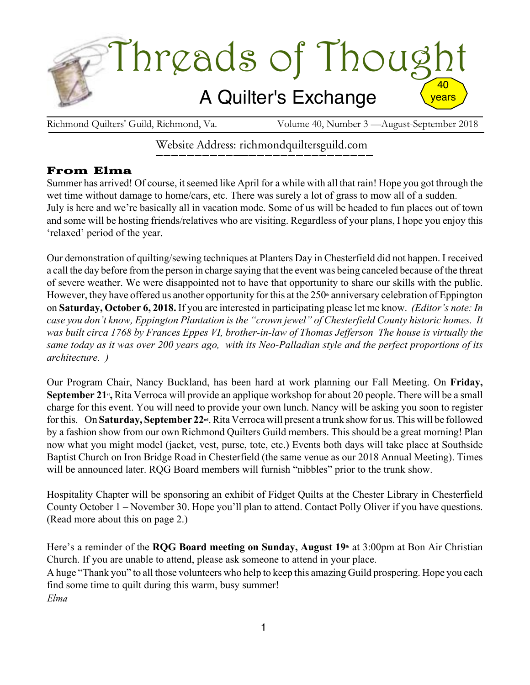

Richmond Quilters' Guild, Richmond, Va. Volume 40, Number 3 — August-September 2018

# Website Address: richmondquiltersguild.com

# From Elma

Summer has arrived! Of course, it seemed like April for a while with all that rain! Hope you got through the wet time without damage to home/cars, etc. There was surely a lot of grass to mow all of a sudden. July is here and we're basically all in vacation mode. Some of us will be headed to fun places out of town and some will be hosting friends/relatives who are visiting. Regardless of your plans, I hope you enjoy this 'relaxed' period of the year.

Our demonstration of quilting/sewing techniques at Planters Day in Chesterfield did not happen. I received a call the day before from the person in charge saying that the event was being canceled because of the threat of severe weather. We were disappointed not to have that opportunity to share our skills with the public. However, they have offered us another opportunity for this at the  $250<sup>th</sup>$  anniversary celebration of Eppington on **Saturday, October 6, 2018.** If you are interested in participating please let me know. *(Editor's note: In case you don't know, Eppington Plantation is the "crown jewel" of Chesterfield County historic homes. It was built circa 1768 by Frances Eppes VI, brother-in-law of Thomas Jefferson The house is virtually the* same today as it was over 200 years ago, with its Neo-Palladian style and the perfect proportions of its *architecture. )*

Our Program Chair, Nancy Buckland, has been hard at work planning our Fall Meeting. On **Friday, September 21<sup>\*</sup>,** Rita Verroca will provide an applique workshop for about 20 people. There will be a small charge for this event. You will need to provide your own lunch. Nancy will be asking you soon to register forthis. On **Saturday, September 22nd** .Rita Verroca will present a trunk show for us. This will be followed by a fashion show from our own Richmond Quilters Guild members. This should be a great morning! Plan now what you might model (jacket, vest, purse, tote, etc.) Events both days will take place at Southside Baptist Church on Iron Bridge Road in Chesterfield (the same venue as our 2018 Annual Meeting). Times will be announced later. RQG Board members will furnish "nibbles" prior to the trunk show.

Hospitality Chapter will be sponsoring an exhibit of Fidget Quilts at the Chester Library in Chesterfield County October 1 – November 30. Hope you'll plan to attend. Contact Polly Oliver if you have questions. (Read more about this on page 2.)

Here's a reminder of the **RQG Board meeting on Sunday, August 19th** at 3:00pm at Bon Air Christian Church. If you are unable to attend, please ask someone to attend in your place. A huge "Thank you" to all those volunteers who help to keep this amazing Guild prospering. Hope you each find some time to quilt during this warm, busy summer! *Elma*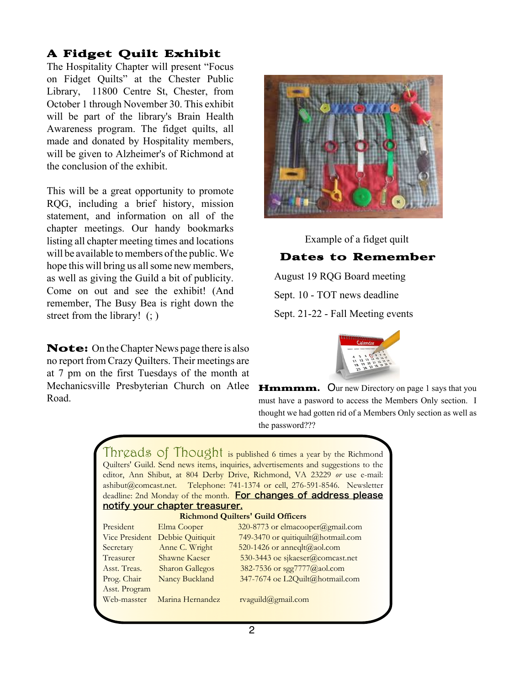# A Fidget Quilt Exhibit

The Hospitality Chapter will present "Focus on Fidget Quilts" at the Chester Public Library, 11800 Centre St, Chester, from October 1 through November 30. This exhibit will be part of the library's Brain Health Awareness program. The fidget quilts, all made and donated by Hospitality members, will be given to Alzheimer's of Richmond at the conclusion of the exhibit.

This will be a great opportunity to promote RQG, including a brief history, mission statement, and information on all of the chapter meetings. Our handy bookmarks listing all chapter meeting times and locations will be available to members of the public. We hope this will bring us all some new members, as well as giving the Guild a bit of publicity. Come on out and see the exhibit! (And remember, The Busy Bea is right down the street from the library! (; )

Note: On the Chapter News page there is also no report from Crazy Quilters. Their meetings are at 7 pm on the first Tuesdays of the month at Mechanicsville Presbyterian Church on Atlee Road.



Example of a fidget quilt Dates to Remember August 19 RQG Board meeting Sept. 10 - TOT news deadline Sept. 21-22 - Fall Meeting events



**Hmmmm.** Our new Directory on page 1 says that you must have a pasword to access the Members Only section. I thought we had gotten rid of a Members Only section as well as the password???

|                                                                                    | Threads of Thought is published 6 times a year by the Richmond |  |
|------------------------------------------------------------------------------------|----------------------------------------------------------------|--|
| Quilters' Guild. Send news items, inquiries, advertisements and suggestions to the |                                                                |  |
| editor, Ann Shibut, at 804 Derby Drive, Richmond, VA 23229 or use e-mail:          |                                                                |  |
| ashibut@comcast.net. Telephone: 741-1374 or cell, 276-591-8546. Newsletter         |                                                                |  |
| deadline: 2nd Monday of the month. For changes of address please                   |                                                                |  |
| notify your chapter treasurer.                                                     |                                                                |  |
| <b>Richmond Quilters' Guild Officers</b>                                           |                                                                |  |
| Elma Cooper                                                                        | $320-8773$ or elmacooper@gmail.com                             |  |
| Debbie Quitiquit                                                                   | 749-3470 or quitiquilt@hotmail.com                             |  |
| Anne C. Wright                                                                     | 520-1426 or anneqlt@aol.com                                    |  |
| Shawne Kaeser                                                                      | 530-3443 oe sjkaeser@comcast.net                               |  |
| <b>Sharon Gallegos</b>                                                             | 382-7536 or sgg7777@aol.com                                    |  |
| Nancy Buckland                                                                     | 347-7674 oe L2Quilt@hotmail.com                                |  |
|                                                                                    |                                                                |  |
| Marina Hernandez                                                                   | $r$ vaguild@gmail.com                                          |  |
|                                                                                    |                                                                |  |
|                                                                                    |                                                                |  |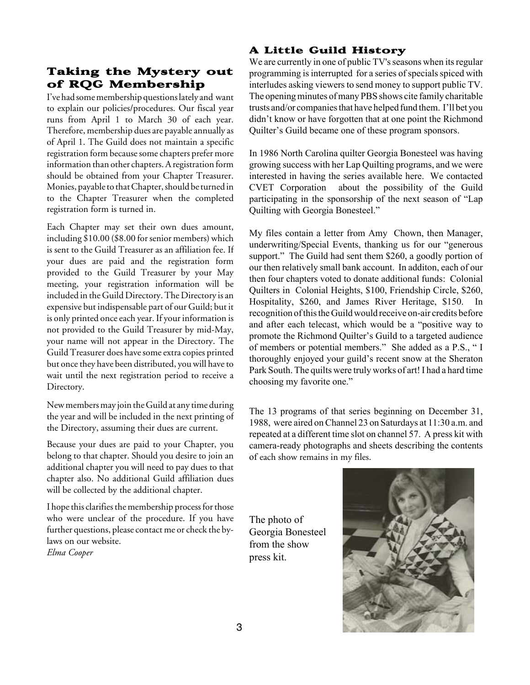## Taking the Mystery out of RQG Membership

I've had some membership questions lately and want to explain our policies/procedures. Our fiscal year runs from April 1 to March 30 of each year. Therefore, membership dues are payable annually as of April 1. The Guild does not maintain a specific registration form because some chapters prefer more information than other chapters. A registration form should be obtained from your Chapter Treasurer. Monies, payable to that Chapter, should be turned in to the Chapter Treasurer when the completed registration form is turned in.

Each Chapter may set their own dues amount, including \$10.00 (\$8.00 for senior members) which is sent to the Guild Treasurer as an affiliation fee. If your dues are paid and the registration form provided to the Guild Treasurer by your May meeting, your registration information will be included in the Guild Directory. The Directory is an expensive but indispensable part of our Guild; but it is only printed once each year. If your information is not provided to the Guild Treasurer by mid-May, your name will not appear in the Directory. The Guild Treasurer does have some extra copies printed but once they have been distributed, you will have to wait until the next registration period to receive a Directory.

New members may join the Guild at any time during the year and will be included in the next printing of the Directory, assuming their dues are current.

Because your dues are paid to your Chapter, you belong to that chapter. Should you desire to join an additional chapter you will need to pay dues to that chapter also. No additional Guild affiliation dues will be collected by the additional chapter.

I hope this clarifies the membership process for those who were unclear of the procedure. If you have further questions, please contact me or check the bylaws on our website. *Elma Cooper*

## A Little Guild History

We are currently in one of public TV's seasons when its regular programming is interrupted for a series of specials spiced with interludes asking viewers to send money to support public TV. The opening minutes of many PBS shows cite family charitable trusts and/or companiesthat have helped fund them. I'll bet you didn't know or have forgotten that at one point the Richmond Quilter's Guild became one of these program sponsors.

In 1986 North Carolina quilter Georgia Bonesteel was having growing success with her Lap Quilting programs, and we were interested in having the series available here. We contacted CVET Corporation about the possibility of the Guild participating in the sponsorship of the next season of "Lap Quilting with Georgia Bonesteel."

My files contain a letter from Amy Chown, then Manager, underwriting/Special Events, thanking us for our "generous support." The Guild had sent them \$260, a goodly portion of our then relatively small bank account. In additon, each of our then four chapters voted to donate additional funds: Colonial Quilters in Colonial Heights, \$100, Friendship Circle, \$260, Hospitality, \$260, and James River Heritage, \$150. In recognition of this the Guild would receive on-air credits before and after each telecast, which would be a "positive way to promote the Richmond Quilter's Guild to a targeted audience of members or potential members." She added as a P.S., " I thoroughly enjoyed your guild's recent snow at the Sheraton Park South. The quilts were truly works of art! I had a hard time choosing my favorite one."

The 13 programs of that series beginning on December 31, 1988, were aired onChannel 23 on Saturdays at 11:30 a.m. and repeated at a different time slot on channel 57. A press kit with camera-ready photographs and sheets describing the contents of each show remains in my files.

The photo of Georgia Bonesteel from the show press kit.